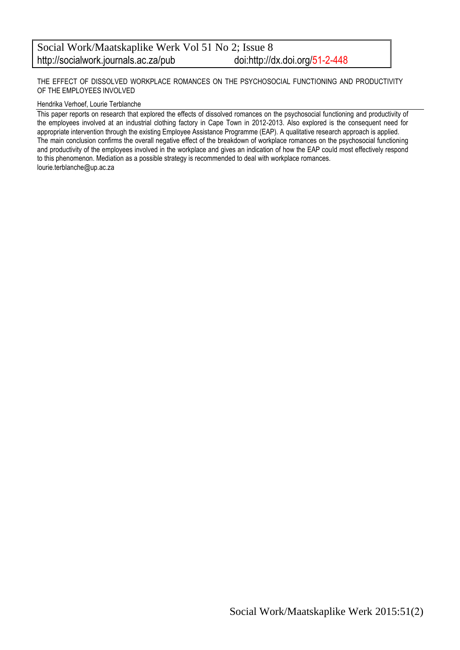THE EFFECT OF DISSOLVED WORKPLACE ROMANCES ON THE PSYCHOSOCIAL FUNCTIONING AND PRODUCTIVITY OF THE EMPLOYEES INVOLVED

#### Hendrika Verhoef, Lourie Terblanche

This paper reports on research that explored the effects of dissolved romances on the psychosocial functioning and productivity of the employees involved at an industrial clothing factory in Cape Town in 2012-2013. Also explored is the consequent need for appropriate intervention through the existing Employee Assistance Programme (EAP). A qualitative research approach is applied. The main conclusion confirms the overall negative effect of the breakdown of workplace romances on the psychosocial functioning and productivity of the employees involved in the workplace and gives an indication of how the EAP could most effectively respond to this phenomenon. Mediation as a possible strategy is recommended to deal with workplace romances. lourie.terblanche@up.ac.za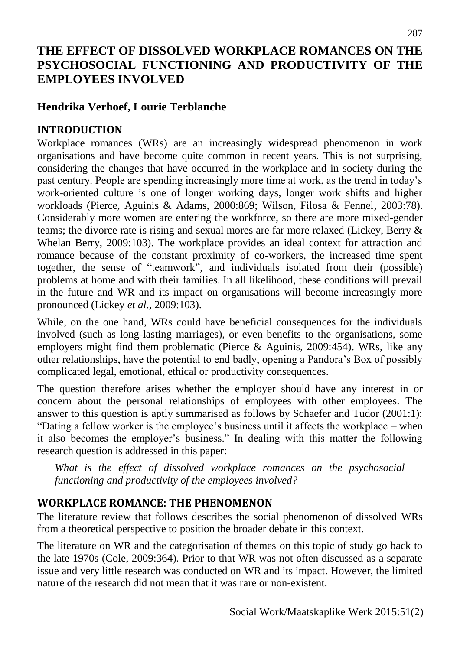## **THE EFFECT OF DISSOLVED WORKPLACE ROMANCES ON THE PSYCHOSOCIAL FUNCTIONING AND PRODUCTIVITY OF THE EMPLOYEES INVOLVED**

## **Hendrika Verhoef, Lourie Terblanche**

## **INTRODUCTION**

Workplace romances (WRs) are an increasingly widespread phenomenon in work organisations and have become quite common in recent years. This is not surprising, considering the changes that have occurred in the workplace and in society during the past century. People are spending increasingly more time at work, as the trend in today's work-oriented culture is one of longer working days, longer work shifts and higher workloads (Pierce, Aguinis & Adams, 2000:869; Wilson, Filosa & Fennel, 2003:78). Considerably more women are entering the workforce, so there are more mixed-gender teams; the divorce rate is rising and sexual mores are far more relaxed (Lickey, Berry & Whelan Berry, 2009:103). The workplace provides an ideal context for attraction and romance because of the constant proximity of co-workers, the increased time spent together, the sense of "teamwork", and individuals isolated from their (possible) problems at home and with their families. In all likelihood, these conditions will prevail in the future and WR and its impact on organisations will become increasingly more pronounced (Lickey *et al*., 2009:103).

While, on the one hand, WRs could have beneficial consequences for the individuals involved (such as long-lasting marriages), or even benefits to the organisations, some employers might find them problematic (Pierce & Aguinis, 2009:454). WRs, like any other relationships, have the potential to end badly, opening a Pandora's Box of possibly complicated legal, emotional, ethical or productivity consequences.

The question therefore arises whether the employer should have any interest in or concern about the personal relationships of employees with other employees. The answer to this question is aptly summarised as follows by Schaefer and Tudor (2001:1): "Dating a fellow worker is the employee's business until it affects the workplace – when it also becomes the employer's business." In dealing with this matter the following research question is addressed in this paper:

*What is the effect of dissolved workplace romances on the psychosocial functioning and productivity of the employees involved?*

## **WORKPLACE ROMANCE: THE PHENOMENON**

The literature review that follows describes the social phenomenon of dissolved WRs from a theoretical perspective to position the broader debate in this context.

The literature on WR and the categorisation of themes on this topic of study go back to the late 1970s (Cole, 2009:364). Prior to that WR was not often discussed as a separate issue and very little research was conducted on WR and its impact. However, the limited nature of the research did not mean that it was rare or non-existent.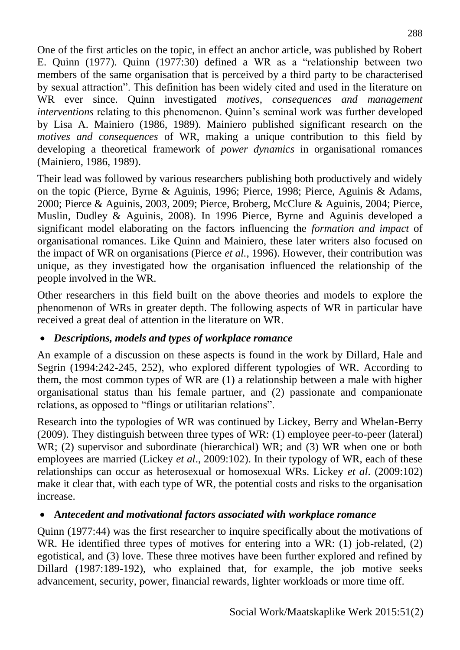One of the first articles on the topic, in effect an anchor article, was published by Robert E. Quinn (1977). Quinn (1977:30) defined a WR as a "relationship between two members of the same organisation that is perceived by a third party to be characterised by sexual attraction". This definition has been widely cited and used in the literature on WR ever since. Quinn investigated *motives*, *consequences and management interventions* relating to this phenomenon. Quinn's seminal work was further developed by Lisa A. Mainiero (1986, 1989). Mainiero published significant research on the *motives and consequences* of WR, making a unique contribution to this field by developing a theoretical framework of *power dynamics* in organisational romances (Mainiero, 1986, 1989).

Their lead was followed by various researchers publishing both productively and widely on the topic (Pierce, Byrne & Aguinis, 1996; Pierce, 1998; Pierce, Aguinis & Adams, 2000; Pierce & Aguinis, 2003, 2009; Pierce, Broberg, McClure & Aguinis, 2004; Pierce, Muslin, Dudley & Aguinis, 2008). In 1996 Pierce, Byrne and Aguinis developed a significant model elaborating on the factors influencing the *formation and impact* of organisational romances. Like Quinn and Mainiero, these later writers also focused on the impact of WR on organisations (Pierce *et al.*, 1996). However, their contribution was unique, as they investigated how the organisation influenced the relationship of the people involved in the WR.

Other researchers in this field built on the above theories and models to explore the phenomenon of WRs in greater depth. The following aspects of WR in particular have received a great deal of attention in the literature on WR.

### *Descriptions, models and types of workplace romance*

An example of a discussion on these aspects is found in the work by Dillard, Hale and Segrin (1994:242-245, 252), who explored different typologies of WR. According to them, the most common types of WR are (1) a relationship between a male with higher organisational status than his female partner, and (2) passionate and companionate relations, as opposed to "flings or utilitarian relations".

Research into the typologies of WR was continued by Lickey, Berry and Whelan-Berry (2009). They distinguish between three types of WR: (1) employee peer-to-peer (lateral) WR; (2) supervisor and subordinate (hierarchical) WR; and (3) WR when one or both employees are married (Lickey *et al*., 2009:102). In their typology of WR, each of these relationships can occur as heterosexual or homosexual WRs. Lickey *et al*. (2009:102) make it clear that, with each type of WR, the potential costs and risks to the organisation increase.

## **A***ntecedent and motivational factors associated with workplace romance*

Quinn (1977:44) was the first researcher to inquire specifically about the motivations of WR. He identified three types of motives for entering into a WR: (1) job-related, (2) egotistical, and (3) love. These three motives have been further explored and refined by Dillard (1987:189-192), who explained that, for example, the job motive seeks advancement, security, power, financial rewards, lighter workloads or more time off.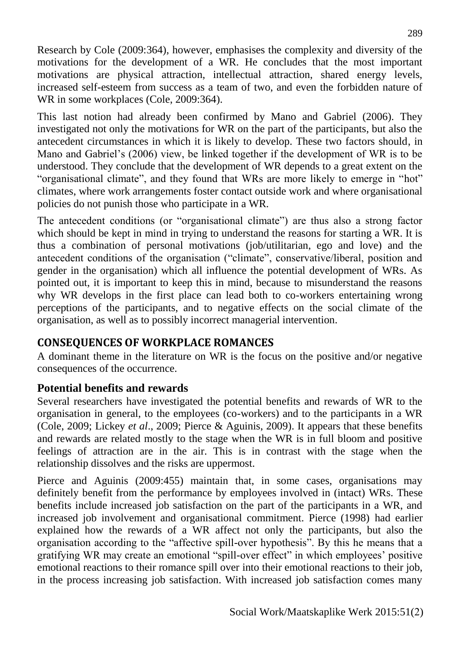Research by Cole (2009:364), however, emphasises the complexity and diversity of the motivations for the development of a WR. He concludes that the most important motivations are physical attraction, intellectual attraction, shared energy levels, increased self-esteem from success as a team of two, and even the forbidden nature of WR in some workplaces (Cole, 2009:364).

This last notion had already been confirmed by Mano and Gabriel (2006). They investigated not only the motivations for WR on the part of the participants, but also the antecedent circumstances in which it is likely to develop. These two factors should, in Mano and Gabriel's (2006) view, be linked together if the development of WR is to be understood. They conclude that the development of WR depends to a great extent on the "organisational climate", and they found that WRs are more likely to emerge in "hot" climates, where work arrangements foster contact outside work and where organisational policies do not punish those who participate in a WR.

The antecedent conditions (or "organisational climate") are thus also a strong factor which should be kept in mind in trying to understand the reasons for starting a WR. It is thus a combination of personal motivations (job/utilitarian, ego and love) and the antecedent conditions of the organisation ("climate", conservative/liberal, position and gender in the organisation) which all influence the potential development of WRs. As pointed out, it is important to keep this in mind, because to misunderstand the reasons why WR develops in the first place can lead both to co-workers entertaining wrong perceptions of the participants, and to negative effects on the social climate of the organisation, as well as to possibly incorrect managerial intervention.

### **CONSEQUENCES OF WORKPLACE ROMANCES**

A dominant theme in the literature on WR is the focus on the positive and/or negative consequences of the occurrence.

### **Potential benefits and rewards**

Several researchers have investigated the potential benefits and rewards of WR to the organisation in general, to the employees (co-workers) and to the participants in a WR (Cole, 2009; Lickey *et al*., 2009; Pierce & Aguinis, 2009). It appears that these benefits and rewards are related mostly to the stage when the WR is in full bloom and positive feelings of attraction are in the air. This is in contrast with the stage when the relationship dissolves and the risks are uppermost.

Pierce and Aguinis (2009:455) maintain that, in some cases, organisations may definitely benefit from the performance by employees involved in (intact) WRs. These benefits include increased job satisfaction on the part of the participants in a WR, and increased job involvement and organisational commitment. Pierce (1998) had earlier explained how the rewards of a WR affect not only the participants, but also the organisation according to the "affective spill-over hypothesis". By this he means that a gratifying WR may create an emotional "spill-over effect" in which employees' positive emotional reactions to their romance spill over into their emotional reactions to their job, in the process increasing job satisfaction. With increased job satisfaction comes many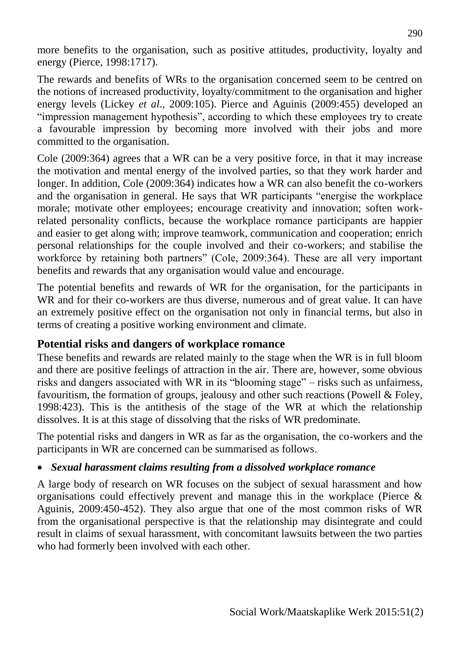more benefits to the organisation, such as positive attitudes, productivity, loyalty and energy (Pierce, 1998:1717).

The rewards and benefits of WRs to the organisation concerned seem to be centred on the notions of increased productivity, loyalty/commitment to the organisation and higher energy levels (Lickey *et al*., 2009:105). Pierce and Aguinis (2009:455) developed an "impression management hypothesis", according to which these employees try to create a favourable impression by becoming more involved with their jobs and more committed to the organisation.

Cole (2009:364) agrees that a WR can be a very positive force, in that it may increase the motivation and mental energy of the involved parties, so that they work harder and longer. In addition, Cole (2009:364) indicates how a WR can also benefit the co-workers and the organisation in general. He says that WR participants "energise the workplace morale; motivate other employees; encourage creativity and innovation; soften workrelated personality conflicts, because the workplace romance participants are happier and easier to get along with; improve teamwork, communication and cooperation; enrich personal relationships for the couple involved and their co-workers; and stabilise the workforce by retaining both partners" (Cole, 2009:364). These are all very important benefits and rewards that any organisation would value and encourage.

The potential benefits and rewards of WR for the organisation, for the participants in WR and for their co-workers are thus diverse, numerous and of great value. It can have an extremely positive effect on the organisation not only in financial terms, but also in terms of creating a positive working environment and climate.

### **Potential risks and dangers of workplace romance**

These benefits and rewards are related mainly to the stage when the WR is in full bloom and there are positive feelings of attraction in the air. There are, however, some obvious risks and dangers associated with WR in its "blooming stage" – risks such as unfairness, favouritism, the formation of groups, jealousy and other such reactions (Powell & Foley, 1998:423). This is the antithesis of the stage of the WR at which the relationship dissolves. It is at this stage of dissolving that the risks of WR predominate.

The potential risks and dangers in WR as far as the organisation, the co-workers and the participants in WR are concerned can be summarised as follows.

### *Sexual harassment claims resulting from a dissolved workplace romance*

A large body of research on WR focuses on the subject of sexual harassment and how organisations could effectively prevent and manage this in the workplace (Pierce & Aguinis, 2009:450-452). They also argue that one of the most common risks of WR from the organisational perspective is that the relationship may disintegrate and could result in claims of sexual harassment, with concomitant lawsuits between the two parties who had formerly been involved with each other.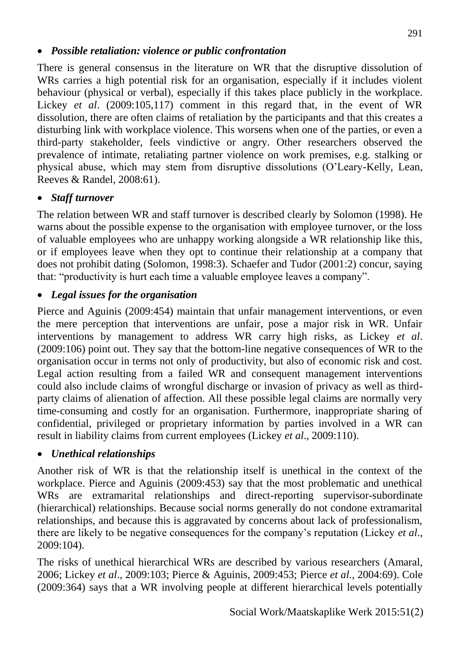#### *Possible retaliation: violence or public confrontation*

There is general consensus in the literature on WR that the disruptive dissolution of WRs carries a high potential risk for an organisation, especially if it includes violent behaviour (physical or verbal), especially if this takes place publicly in the workplace. Lickey *et al*. (2009:105,117) comment in this regard that, in the event of WR dissolution, there are often claims of retaliation by the participants and that this creates a disturbing link with workplace violence. This worsens when one of the parties, or even a third-party stakeholder, feels vindictive or angry. Other researchers observed the prevalence of intimate, retaliating partner violence on work premises, e.g. stalking or physical abuse, which may stem from disruptive dissolutions (O'Leary-Kelly, Lean, Reeves & Randel, 2008:61).

#### *Staff turnover*

The relation between WR and staff turnover is described clearly by Solomon (1998). He warns about the possible expense to the organisation with employee turnover, or the loss of valuable employees who are unhappy working alongside a WR relationship like this, or if employees leave when they opt to continue their relationship at a company that does not prohibit dating (Solomon, 1998:3). Schaefer and Tudor (2001:2) concur, saying that: "productivity is hurt each time a valuable employee leaves a company".

#### *Legal issues for the organisation*

Pierce and Aguinis (2009:454) maintain that unfair management interventions, or even the mere perception that interventions are unfair, pose a major risk in WR. Unfair interventions by management to address WR carry high risks, as Lickey *et al*. (2009:106) point out. They say that the bottom-line negative consequences of WR to the organisation occur in terms not only of productivity, but also of economic risk and cost. Legal action resulting from a failed WR and consequent management interventions could also include claims of wrongful discharge or invasion of privacy as well as thirdparty claims of alienation of affection. All these possible legal claims are normally very time-consuming and costly for an organisation. Furthermore, inappropriate sharing of confidential, privileged or proprietary information by parties involved in a WR can result in liability claims from current employees (Lickey *et al*., 2009:110).

#### *Unethical relationships*

Another risk of WR is that the relationship itself is unethical in the context of the workplace. Pierce and Aguinis (2009:453) say that the most problematic and unethical WRs are extramarital relationships and direct-reporting supervisor-subordinate (hierarchical) relationships. Because social norms generally do not condone extramarital relationships, and because this is aggravated by concerns about lack of professionalism, there are likely to be negative consequences for the company's reputation (Lickey *et al*., 2009:104).

The risks of unethical hierarchical WRs are described by various researchers (Amaral, 2006; Lickey *et al*., 2009:103; Pierce & Aguinis, 2009:453; Pierce *et al.,* 2004:69). Cole (2009:364) says that a WR involving people at different hierarchical levels potentially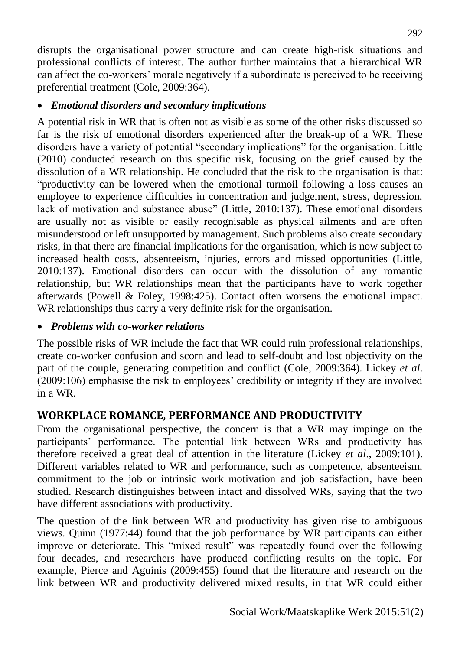disrupts the organisational power structure and can create high-risk situations and professional conflicts of interest. The author further maintains that a hierarchical WR can affect the co-workers' morale negatively if a subordinate is perceived to be receiving preferential treatment (Cole, 2009:364).

### *Emotional disorders and secondary implications*

A potential risk in WR that is often not as visible as some of the other risks discussed so far is the risk of emotional disorders experienced after the break-up of a WR. These disorders have a variety of potential "secondary implications" for the organisation. Little (2010) conducted research on this specific risk, focusing on the grief caused by the dissolution of a WR relationship. He concluded that the risk to the organisation is that: "productivity can be lowered when the emotional turmoil following a loss causes an employee to experience difficulties in concentration and judgement, stress, depression, lack of motivation and substance abuse" (Little, 2010:137). These emotional disorders are usually not as visible or easily recognisable as physical ailments and are often misunderstood or left unsupported by management. Such problems also create secondary risks, in that there are financial implications for the organisation, which is now subject to increased health costs, absenteeism, injuries, errors and missed opportunities (Little, 2010:137). Emotional disorders can occur with the dissolution of any romantic relationship, but WR relationships mean that the participants have to work together afterwards (Powell & Foley, 1998:425). Contact often worsens the emotional impact. WR relationships thus carry a very definite risk for the organisation.

### *Problems with co-worker relations*

The possible risks of WR include the fact that WR could ruin professional relationships, create co-worker confusion and scorn and lead to self-doubt and lost objectivity on the part of the couple, generating competition and conflict (Cole, 2009:364). Lickey *et al*. (2009:106) emphasise the risk to employees' credibility or integrity if they are involved in a WR.

# **WORKPLACE ROMANCE, PERFORMANCE AND PRODUCTIVITY**

From the organisational perspective, the concern is that a WR may impinge on the participants' performance. The potential link between WRs and productivity has therefore received a great deal of attention in the literature (Lickey *et al*., 2009:101). Different variables related to WR and performance, such as competence, absenteeism, commitment to the job or intrinsic work motivation and job satisfaction, have been studied. Research distinguishes between intact and dissolved WRs, saying that the two have different associations with productivity.

The question of the link between WR and productivity has given rise to ambiguous views. Quinn (1977:44) found that the job performance by WR participants can either improve or deteriorate. This "mixed result" was repeatedly found over the following four decades, and researchers have produced conflicting results on the topic. For example, Pierce and Aguinis (2009:455) found that the literature and research on the link between WR and productivity delivered mixed results, in that WR could either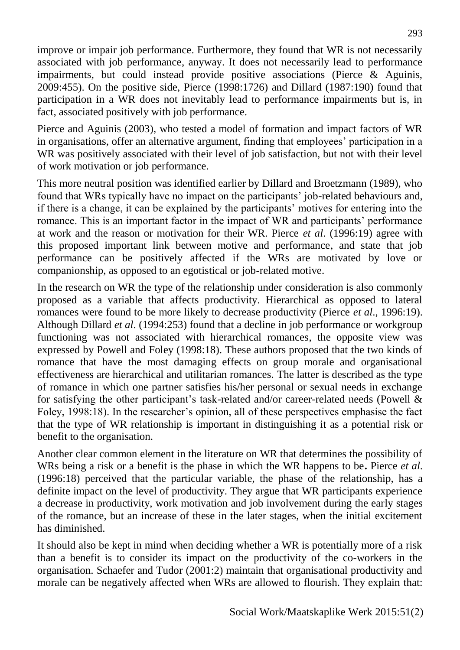improve or impair job performance. Furthermore, they found that WR is not necessarily associated with job performance, anyway. It does not necessarily lead to performance impairments, but could instead provide positive associations (Pierce & Aguinis, 2009:455). On the positive side, Pierce (1998:1726) and Dillard (1987:190) found that participation in a WR does not inevitably lead to performance impairments but is, in fact, associated positively with job performance.

Pierce and Aguinis (2003), who tested a model of formation and impact factors of WR in organisations, offer an alternative argument, finding that employees' participation in a WR was positively associated with their level of job satisfaction, but not with their level of work motivation or job performance.

This more neutral position was identified earlier by Dillard and Broetzmann (1989), who found that WRs typically have no impact on the participants' job-related behaviours and, if there is a change, it can be explained by the participants' motives for entering into the romance. This is an important factor in the impact of WR and participants' performance at work and the reason or motivation for their WR. Pierce *et al*. (1996:19) agree with this proposed important link between motive and performance, and state that job performance can be positively affected if the WRs are motivated by love or companionship, as opposed to an egotistical or job-related motive.

In the research on WR the type of the relationship under consideration is also commonly proposed as a variable that affects productivity. Hierarchical as opposed to lateral romances were found to be more likely to decrease productivity (Pierce *et al*., 1996:19). Although Dillard *et al*. (1994:253) found that a decline in job performance or workgroup functioning was not associated with hierarchical romances, the opposite view was expressed by Powell and Foley (1998:18). These authors proposed that the two kinds of romance that have the most damaging effects on group morale and organisational effectiveness are hierarchical and utilitarian romances. The latter is described as the type of romance in which one partner satisfies his/her personal or sexual needs in exchange for satisfying the other participant's task-related and/or career-related needs (Powell & Foley, 1998:18). In the researcher's opinion, all of these perspectives emphasise the fact that the type of WR relationship is important in distinguishing it as a potential risk or benefit to the organisation.

Another clear common element in the literature on WR that determines the possibility of WRs being a risk or a benefit is the phase in which the WR happens to be**.** Pierce *et al*. (1996:18) perceived that the particular variable, the phase of the relationship, has a definite impact on the level of productivity. They argue that WR participants experience a decrease in productivity, work motivation and job involvement during the early stages of the romance, but an increase of these in the later stages, when the initial excitement has diminished.

It should also be kept in mind when deciding whether a WR is potentially more of a risk than a benefit is to consider its impact on the productivity of the co-workers in the organisation. Schaefer and Tudor (2001:2) maintain that organisational productivity and morale can be negatively affected when WRs are allowed to flourish. They explain that: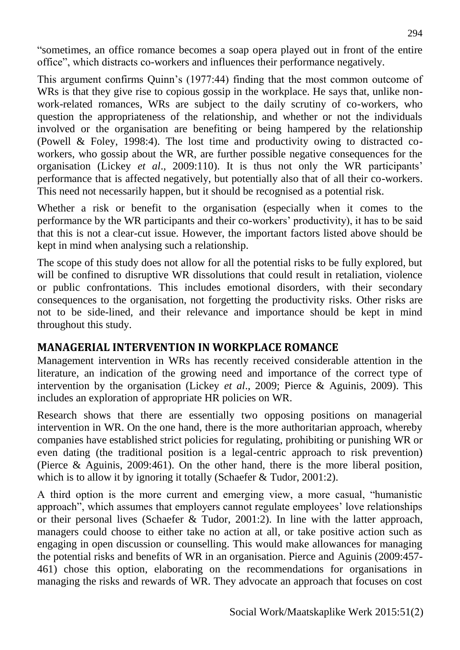"sometimes, an office romance becomes a soap opera played out in front of the entire office", which distracts co-workers and influences their performance negatively.

This argument confirms Quinn's (1977:44) finding that the most common outcome of WRs is that they give rise to copious gossip in the workplace. He says that, unlike nonwork-related romances, WRs are subject to the daily scrutiny of co-workers, who question the appropriateness of the relationship, and whether or not the individuals involved or the organisation are benefiting or being hampered by the relationship (Powell & Foley, 1998:4). The lost time and productivity owing to distracted coworkers, who gossip about the WR, are further possible negative consequences for the organisation (Lickey *et al*., 2009:110). It is thus not only the WR participants' performance that is affected negatively, but potentially also that of all their co-workers. This need not necessarily happen, but it should be recognised as a potential risk.

Whether a risk or benefit to the organisation (especially when it comes to the performance by the WR participants and their co-workers' productivity), it has to be said that this is not a clear-cut issue. However, the important factors listed above should be kept in mind when analysing such a relationship.

The scope of this study does not allow for all the potential risks to be fully explored, but will be confined to disruptive WR dissolutions that could result in retaliation, violence or public confrontations. This includes emotional disorders, with their secondary consequences to the organisation, not forgetting the productivity risks. Other risks are not to be side-lined, and their relevance and importance should be kept in mind throughout this study.

### **MANAGERIAL INTERVENTION IN WORKPLACE ROMANCE**

Management intervention in WRs has recently received considerable attention in the literature, an indication of the growing need and importance of the correct type of intervention by the organisation (Lickey *et al*., 2009; Pierce & Aguinis, 2009). This includes an exploration of appropriate HR policies on WR.

Research shows that there are essentially two opposing positions on managerial intervention in WR. On the one hand, there is the more authoritarian approach, whereby companies have established strict policies for regulating, prohibiting or punishing WR or even dating (the traditional position is a legal-centric approach to risk prevention) (Pierce & Aguinis, 2009:461). On the other hand, there is the more liberal position, which is to allow it by ignoring it totally (Schaefer & Tudor, 2001:2).

A third option is the more current and emerging view, a more casual, "humanistic approach", which assumes that employers cannot regulate employees' love relationships or their personal lives (Schaefer & Tudor, 2001:2). In line with the latter approach, managers could choose to either take no action at all, or take positive action such as engaging in open discussion or counselling. This would make allowances for managing the potential risks and benefits of WR in an organisation. Pierce and Aguinis (2009:457- 461) chose this option, elaborating on the recommendations for organisations in managing the risks and rewards of WR. They advocate an approach that focuses on cost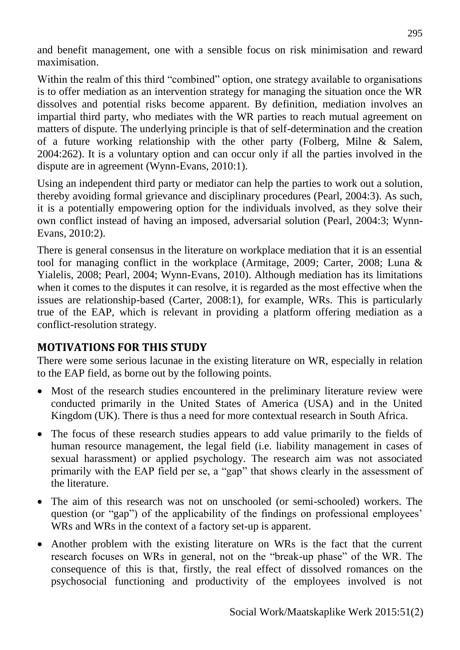and benefit management, one with a sensible focus on risk minimisation and reward maximisation.

Within the realm of this third "combined" option, one strategy available to organisations is to offer mediation as an intervention strategy for managing the situation once the WR dissolves and potential risks become apparent. By definition, mediation involves an impartial third party, who mediates with the WR parties to reach mutual agreement on matters of dispute. The underlying principle is that of self-determination and the creation of a future working relationship with the other party (Folberg, Milne & Salem, 2004:262). It is a voluntary option and can occur only if all the parties involved in the dispute are in agreement (Wynn-Evans, 2010:1).

Using an independent third party or mediator can help the parties to work out a solution, thereby avoiding formal grievance and disciplinary procedures (Pearl, 2004:3). As such, it is a potentially empowering option for the individuals involved, as they solve their own conflict instead of having an imposed, adversarial solution (Pearl, 2004:3; Wynn-Evans, 2010:2).

There is general consensus in the literature on workplace mediation that it is an essential tool for managing conflict in the workplace (Armitage, 2009; Carter, 2008; Luna & Yialelis, 2008; Pearl, 2004; Wynn-Evans, 2010). Although mediation has its limitations when it comes to the disputes it can resolve, it is regarded as the most effective when the issues are relationship-based (Carter, 2008:1), for example, WRs. This is particularly true of the EAP, which is relevant in providing a platform offering mediation as a conflict-resolution strategy.

### **MOTIVATIONS FOR THIS STUDY**

There were some serious lacunae in the existing literature on WR, especially in relation to the EAP field, as borne out by the following points.

- Most of the research studies encountered in the preliminary literature review were conducted primarily in the United States of America (USA) and in the United Kingdom (UK). There is thus a need for more contextual research in South Africa.
- The focus of these research studies appears to add value primarily to the fields of human resource management, the legal field (i.e. liability management in cases of sexual harassment) or applied psychology. The research aim was not associated primarily with the EAP field per se, a "gap" that shows clearly in the assessment of the literature.
- The aim of this research was not on unschooled (or semi-schooled) workers. The question (or "gap") of the applicability of the findings on professional employees' WRs and WRs in the context of a factory set-up is apparent.
- Another problem with the existing literature on WRs is the fact that the current research focuses on WRs in general, not on the "break-up phase" of the WR. The consequence of this is that, firstly, the real effect of dissolved romances on the psychosocial functioning and productivity of the employees involved is not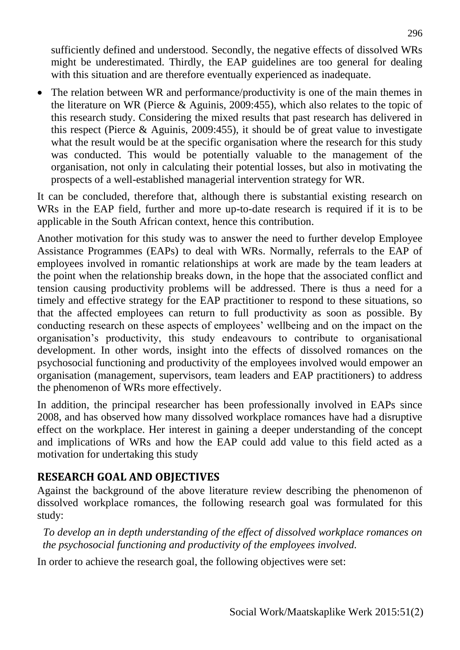sufficiently defined and understood. Secondly, the negative effects of dissolved WRs might be underestimated. Thirdly, the EAP guidelines are too general for dealing with this situation and are therefore eventually experienced as inadequate.

• The relation between WR and performance/productivity is one of the main themes in the literature on WR (Pierce & Aguinis, 2009:455), which also relates to the topic of this research study. Considering the mixed results that past research has delivered in this respect (Pierce & Aguinis, 2009:455), it should be of great value to investigate what the result would be at the specific organisation where the research for this study was conducted. This would be potentially valuable to the management of the organisation, not only in calculating their potential losses, but also in motivating the prospects of a well-established managerial intervention strategy for WR.

It can be concluded, therefore that, although there is substantial existing research on WRs in the EAP field, further and more up-to-date research is required if it is to be applicable in the South African context, hence this contribution.

Another motivation for this study was to answer the need to further develop Employee Assistance Programmes (EAPs) to deal with WRs. Normally, referrals to the EAP of employees involved in romantic relationships at work are made by the team leaders at the point when the relationship breaks down, in the hope that the associated conflict and tension causing productivity problems will be addressed. There is thus a need for a timely and effective strategy for the EAP practitioner to respond to these situations, so that the affected employees can return to full productivity as soon as possible. By conducting research on these aspects of employees' wellbeing and on the impact on the organisation's productivity, this study endeavours to contribute to organisational development. In other words, insight into the effects of dissolved romances on the psychosocial functioning and productivity of the employees involved would empower an organisation (management, supervisors, team leaders and EAP practitioners) to address the phenomenon of WRs more effectively.

In addition, the principal researcher has been professionally involved in EAPs since 2008, and has observed how many dissolved workplace romances have had a disruptive effect on the workplace. Her interest in gaining a deeper understanding of the concept and implications of WRs and how the EAP could add value to this field acted as a motivation for undertaking this study

### **RESEARCH GOAL AND OBJECTIVES**

Against the background of the above literature review describing the phenomenon of dissolved workplace romances, the following research goal was formulated for this study:

*To develop an in depth understanding of the effect of dissolved workplace romances on the psychosocial functioning and productivity of the employees involved.* 

In order to achieve the research goal, the following objectives were set: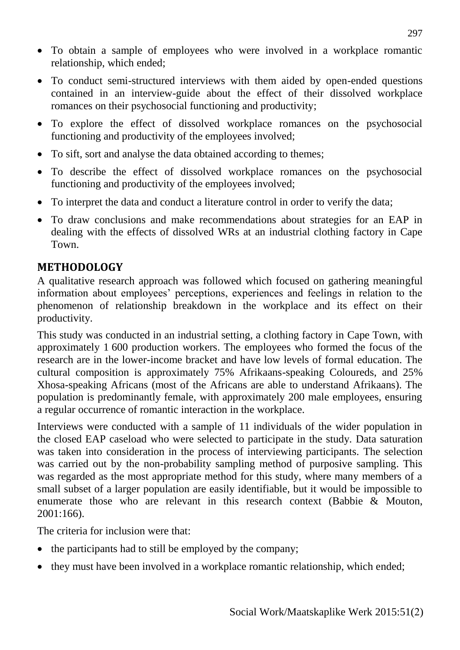- To obtain a sample of employees who were involved in a workplace romantic relationship, which ended;
- To conduct semi-structured interviews with them aided by open-ended questions contained in an interview-guide about the effect of their dissolved workplace romances on their psychosocial functioning and productivity;
- To explore the effect of dissolved workplace romances on the psychosocial functioning and productivity of the employees involved;
- To sift, sort and analyse the data obtained according to themes;
- To describe the effect of dissolved workplace romances on the psychosocial functioning and productivity of the employees involved;
- To interpret the data and conduct a literature control in order to verify the data;
- To draw conclusions and make recommendations about strategies for an EAP in dealing with the effects of dissolved WRs at an industrial clothing factory in Cape Town.

### **METHODOLOGY**

A qualitative research approach was followed which focused on gathering meaningful information about employees' perceptions, experiences and feelings in relation to the phenomenon of relationship breakdown in the workplace and its effect on their productivity.

This study was conducted in an industrial setting, a clothing factory in Cape Town, with approximately 1 600 production workers. The employees who formed the focus of the research are in the lower-income bracket and have low levels of formal education. The cultural composition is approximately 75% Afrikaans-speaking Coloureds, and 25% Xhosa-speaking Africans (most of the Africans are able to understand Afrikaans). The population is predominantly female, with approximately 200 male employees, ensuring a regular occurrence of romantic interaction in the workplace.

Interviews were conducted with a sample of 11 individuals of the wider population in the closed EAP caseload who were selected to participate in the study. Data saturation was taken into consideration in the process of interviewing participants. The selection was carried out by the non-probability sampling method of purposive sampling. This was regarded as the most appropriate method for this study, where many members of a small subset of a larger population are easily identifiable, but it would be impossible to enumerate those who are relevant in this research context (Babbie & Mouton, 2001:166).

The criteria for inclusion were that:

- the participants had to still be employed by the company;
- they must have been involved in a workplace romantic relationship, which ended;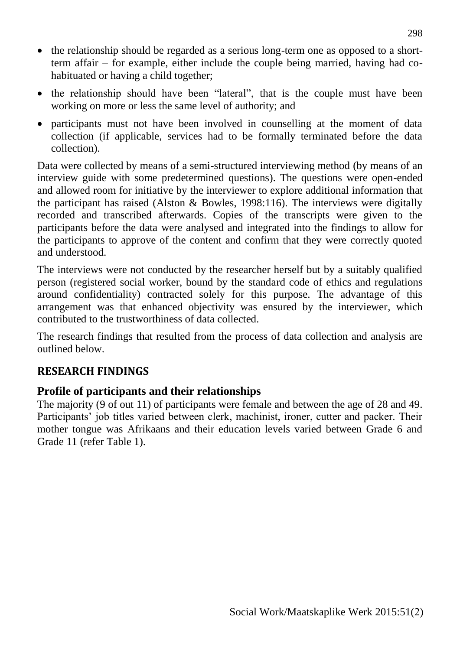- the relationship should be regarded as a serious long-term one as opposed to a shortterm affair – for example, either include the couple being married, having had cohabituated or having a child together;
- the relationship should have been "lateral", that is the couple must have been working on more or less the same level of authority; and
- participants must not have been involved in counselling at the moment of data collection (if applicable, services had to be formally terminated before the data collection).

Data were collected by means of a semi-structured interviewing method (by means of an interview guide with some predetermined questions). The questions were open-ended and allowed room for initiative by the interviewer to explore additional information that the participant has raised (Alston & Bowles, 1998:116). The interviews were digitally recorded and transcribed afterwards. Copies of the transcripts were given to the participants before the data were analysed and integrated into the findings to allow for the participants to approve of the content and confirm that they were correctly quoted and understood.

The interviews were not conducted by the researcher herself but by a suitably qualified person (registered social worker, bound by the standard code of ethics and regulations around confidentiality) contracted solely for this purpose. The advantage of this arrangement was that enhanced objectivity was ensured by the interviewer, which contributed to the trustworthiness of data collected.

The research findings that resulted from the process of data collection and analysis are outlined below.

## **RESEARCH FINDINGS**

### **Profile of participants and their relationships**

The majority (9 of out 11) of participants were female and between the age of 28 and 49. Participants' job titles varied between clerk, machinist, ironer, cutter and packer. Their mother tongue was Afrikaans and their education levels varied between Grade 6 and Grade 11 (refer Table 1).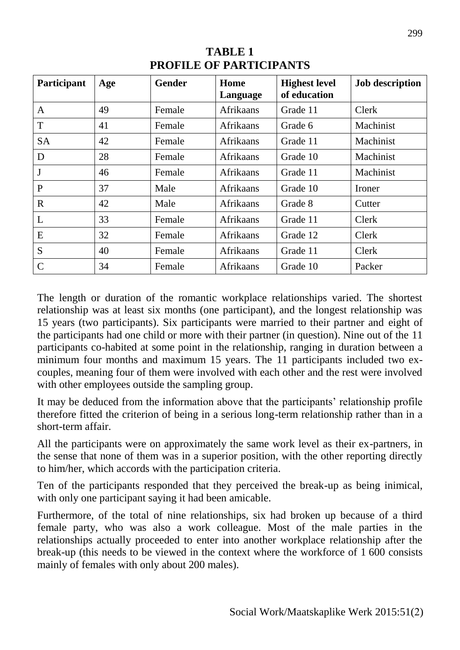| <b>Participant</b> | Age | <b>Gender</b> | Home<br>Language | <b>Highest level</b><br>of education | <b>Job description</b> |
|--------------------|-----|---------------|------------------|--------------------------------------|------------------------|
| $\mathbf{A}$       | 49  | Female        | <b>Afrikaans</b> | Grade 11                             | Clerk                  |
| T                  | 41  | Female        | <b>Afrikaans</b> | Grade 6                              | Machinist              |
| <b>SA</b>          | 42  | Female        | <b>Afrikaans</b> | Grade 11                             | Machinist              |
| D                  | 28  | Female        | Afrikaans        | Grade 10                             | Machinist              |
| $\mathbf{J}$       | 46  | Female        | <b>Afrikaans</b> | Grade 11                             | Machinist              |
| $\mathbf{P}$       | 37  | Male          | <b>Afrikaans</b> | Grade 10                             | Ironer                 |
| $\mathbf R$        | 42  | Male          | <b>Afrikaans</b> | Grade 8                              | Cutter                 |
| L                  | 33  | Female        | <b>Afrikaans</b> | Grade 11                             | Clerk                  |
| E                  | 32  | Female        | <b>Afrikaans</b> | Grade 12                             | Clerk                  |
| S                  | 40  | Female        | <b>Afrikaans</b> | Grade 11                             | Clerk                  |
| $\mathcal{C}$      | 34  | Female        | Afrikaans        | Grade 10                             | Packer                 |

**TABLE 1 PROFILE OF PARTICIPANTS** 

The length or duration of the romantic workplace relationships varied. The shortest relationship was at least six months (one participant), and the longest relationship was 15 years (two participants). Six participants were married to their partner and eight of the participants had one child or more with their partner (in question). Nine out of the 11 participants co-habited at some point in the relationship, ranging in duration between a minimum four months and maximum 15 years. The 11 participants included two excouples, meaning four of them were involved with each other and the rest were involved with other employees outside the sampling group.

It may be deduced from the information above that the participants' relationship profile therefore fitted the criterion of being in a serious long-term relationship rather than in a short-term affair.

All the participants were on approximately the same work level as their ex-partners, in the sense that none of them was in a superior position, with the other reporting directly to him/her, which accords with the participation criteria.

Ten of the participants responded that they perceived the break-up as being inimical, with only one participant saying it had been amicable.

Furthermore, of the total of nine relationships, six had broken up because of a third female party, who was also a work colleague. Most of the male parties in the relationships actually proceeded to enter into another workplace relationship after the break-up (this needs to be viewed in the context where the workforce of 1 600 consists mainly of females with only about 200 males).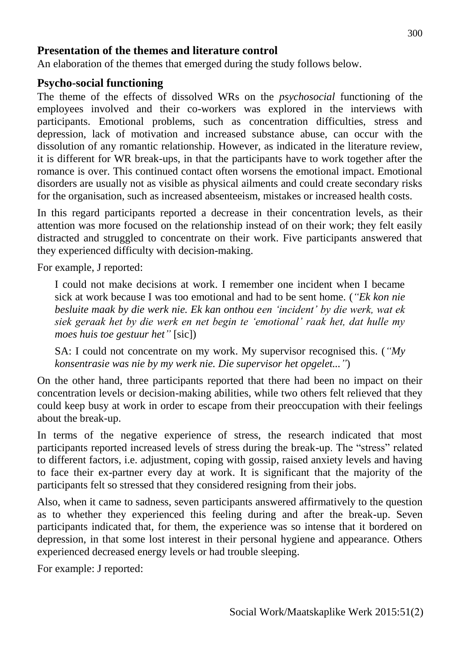#### **Presentation of the themes and literature control**

An elaboration of the themes that emerged during the study follows below.

#### **Psycho-social functioning**

The theme of the effects of dissolved WRs on the *psychosocial* functioning of the employees involved and their co-workers was explored in the interviews with participants. Emotional problems, such as concentration difficulties, stress and depression, lack of motivation and increased substance abuse, can occur with the dissolution of any romantic relationship. However, as indicated in the literature review, it is different for WR break-ups, in that the participants have to work together after the romance is over. This continued contact often worsens the emotional impact. Emotional disorders are usually not as visible as physical ailments and could create secondary risks for the organisation, such as increased absenteeism, mistakes or increased health costs.

In this regard participants reported a decrease in their concentration levels, as their attention was more focused on the relationship instead of on their work; they felt easily distracted and struggled to concentrate on their work. Five participants answered that they experienced difficulty with decision-making.

For example, J reported:

I could not make decisions at work. I remember one incident when I became sick at work because I was too emotional and had to be sent home. (*"Ek kon nie besluite maak by die werk nie. Ek kan onthou een 'incident' by die werk, wat ek siek geraak het by die werk en net begin te 'emotional' raak het, dat hulle my moes huis toe gestuur het"* [sic])

SA: I could not concentrate on my work. My supervisor recognised this. (*"My konsentrasie was nie by my werk nie. Die supervisor het opgelet..."*)

On the other hand, three participants reported that there had been no impact on their concentration levels or decision-making abilities, while two others felt relieved that they could keep busy at work in order to escape from their preoccupation with their feelings about the break-up.

In terms of the negative experience of stress, the research indicated that most participants reported increased levels of stress during the break-up. The "stress" related to different factors, i.e. adjustment, coping with gossip, raised anxiety levels and having to face their ex-partner every day at work. It is significant that the majority of the participants felt so stressed that they considered resigning from their jobs.

Also, when it came to sadness, seven participants answered affirmatively to the question as to whether they experienced this feeling during and after the break-up. Seven participants indicated that, for them, the experience was so intense that it bordered on depression, in that some lost interest in their personal hygiene and appearance. Others experienced decreased energy levels or had trouble sleeping.

For example: J reported: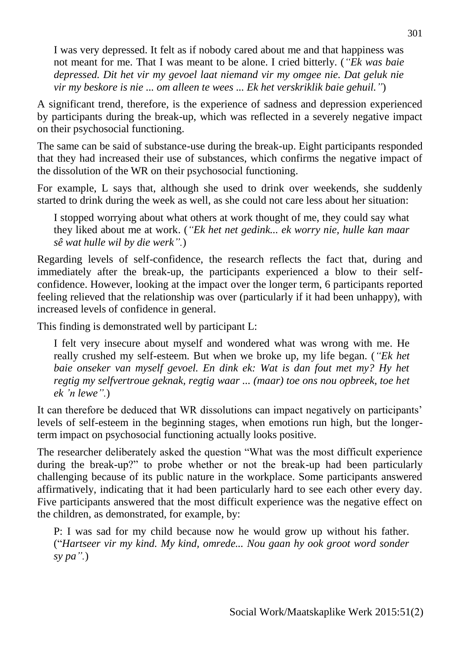I was very depressed. It felt as if nobody cared about me and that happiness was not meant for me. That I was meant to be alone. I cried bitterly. (*"Ek was baie depressed. Dit het vir my gevoel laat niemand vir my omgee nie. Dat geluk nie vir my beskore is nie ... om alleen te wees ... Ek het verskriklik baie gehuil."*)

A significant trend, therefore, is the experience of sadness and depression experienced by participants during the break-up, which was reflected in a severely negative impact on their psychosocial functioning.

The same can be said of substance-use during the break-up. Eight participants responded that they had increased their use of substances, which confirms the negative impact of the dissolution of the WR on their psychosocial functioning.

For example, L says that, although she used to drink over weekends, she suddenly started to drink during the week as well, as she could not care less about her situation:

I stopped worrying about what others at work thought of me, they could say what they liked about me at work. (*"Ek het net gedink... ek worry nie, hulle kan maar sê wat hulle wil by die werk".*)

Regarding levels of self-confidence, the research reflects the fact that, during and immediately after the break-up, the participants experienced a blow to their selfconfidence. However, looking at the impact over the longer term, 6 participants reported feeling relieved that the relationship was over (particularly if it had been unhappy), with increased levels of confidence in general.

This finding is demonstrated well by participant L:

I felt very insecure about myself and wondered what was wrong with me. He really crushed my self-esteem. But when we broke up, my life began. (*"Ek het baie onseker van myself gevoel. En dink ek: Wat is dan fout met my? Hy het regtig my selfvertroue geknak, regtig waar ... (maar) toe ons nou opbreek, toe het ek 'n lewe".*)

It can therefore be deduced that WR dissolutions can impact negatively on participants' levels of self-esteem in the beginning stages, when emotions run high, but the longerterm impact on psychosocial functioning actually looks positive.

The researcher deliberately asked the question "What was the most difficult experience during the break-up?" to probe whether or not the break-up had been particularly challenging because of its public nature in the workplace. Some participants answered affirmatively, indicating that it had been particularly hard to see each other every day. Five participants answered that the most difficult experience was the negative effect on the children, as demonstrated, for example, by:

P: I was sad for my child because now he would grow up without his father. ("*Hartseer vir my kind. My kind, omrede... Nou gaan hy ook groot word sonder sy pa".*)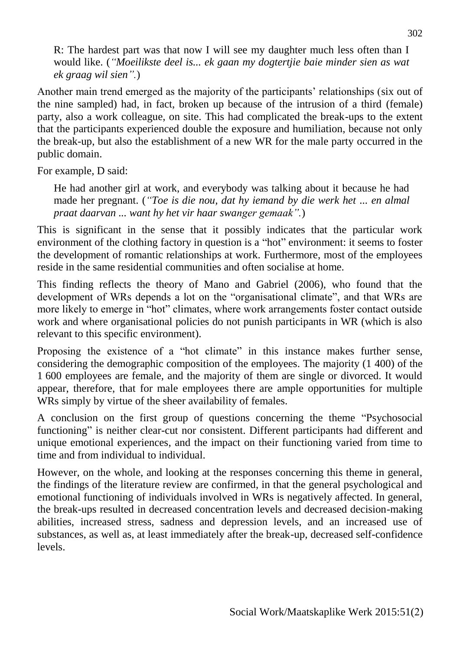R: The hardest part was that now I will see my daughter much less often than I would like. (*"Moeilikste deel is... ek gaan my dogtertjie baie minder sien as wat ek graag wil sien".*)

Another main trend emerged as the majority of the participants' relationships (six out of the nine sampled) had, in fact, broken up because of the intrusion of a third (female) party, also a work colleague, on site. This had complicated the break-ups to the extent that the participants experienced double the exposure and humiliation, because not only the break-up, but also the establishment of a new WR for the male party occurred in the public domain.

For example, D said:

He had another girl at work, and everybody was talking about it because he had made her pregnant. (*"Toe is die nou, dat hy iemand by die werk het ... en almal praat daarvan ... want hy het vir haar swanger gemaak".*)

This is significant in the sense that it possibly indicates that the particular work environment of the clothing factory in question is a "hot" environment: it seems to foster the development of romantic relationships at work. Furthermore, most of the employees reside in the same residential communities and often socialise at home.

This finding reflects the theory of Mano and Gabriel (2006), who found that the development of WRs depends a lot on the "organisational climate", and that WRs are more likely to emerge in "hot" climates, where work arrangements foster contact outside work and where organisational policies do not punish participants in WR (which is also relevant to this specific environment).

Proposing the existence of a "hot climate" in this instance makes further sense, considering the demographic composition of the employees. The majority (1 400) of the 1 600 employees are female, and the majority of them are single or divorced. It would appear, therefore, that for male employees there are ample opportunities for multiple WRs simply by virtue of the sheer availability of females.

A conclusion on the first group of questions concerning the theme "Psychosocial functioning" is neither clear-cut nor consistent. Different participants had different and unique emotional experiences, and the impact on their functioning varied from time to time and from individual to individual.

However, on the whole, and looking at the responses concerning this theme in general, the findings of the literature review are confirmed, in that the general psychological and emotional functioning of individuals involved in WRs is negatively affected. In general, the break-ups resulted in decreased concentration levels and decreased decision-making abilities, increased stress, sadness and depression levels, and an increased use of substances, as well as, at least immediately after the break-up, decreased self-confidence levels.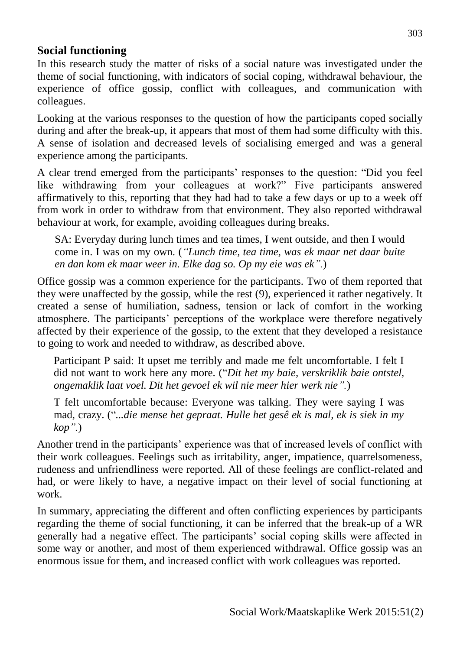### **Social functioning**

In this research study the matter of risks of a social nature was investigated under the theme of social functioning, with indicators of social coping, withdrawal behaviour, the experience of office gossip, conflict with colleagues, and communication with colleagues.

Looking at the various responses to the question of how the participants coped socially during and after the break-up, it appears that most of them had some difficulty with this. A sense of isolation and decreased levels of socialising emerged and was a general experience among the participants.

A clear trend emerged from the participants' responses to the question: "Did you feel like withdrawing from your colleagues at work?" Five participants answered affirmatively to this, reporting that they had had to take a few days or up to a week off from work in order to withdraw from that environment. They also reported withdrawal behaviour at work, for example, avoiding colleagues during breaks.

SA: Everyday during lunch times and tea times, I went outside, and then I would come in. I was on my own. (*"Lunch time, tea time, was ek maar net daar buite en dan kom ek maar weer in. Elke dag so. Op my eie was ek".*)

Office gossip was a common experience for the participants. Two of them reported that they were unaffected by the gossip, while the rest (9), experienced it rather negatively. It created a sense of humiliation, sadness, tension or lack of comfort in the working atmosphere. The participants' perceptions of the workplace were therefore negatively affected by their experience of the gossip, to the extent that they developed a resistance to going to work and needed to withdraw, as described above.

Participant P said: It upset me terribly and made me felt uncomfortable. I felt I did not want to work here any more. ("*Dit het my baie, verskriklik baie ontstel, ongemaklik laat voel. Dit het gevoel ek wil nie meer hier werk nie".*)

T felt uncomfortable because: Everyone was talking. They were saying I was mad, crazy. ("*...die mense het gepraat. Hulle het gesê ek is mal, ek is siek in my kop".*)

Another trend in the participants' experience was that of increased levels of conflict with their work colleagues. Feelings such as irritability, anger, impatience, quarrelsomeness, rudeness and unfriendliness were reported. All of these feelings are conflict-related and had, or were likely to have, a negative impact on their level of social functioning at work.

In summary, appreciating the different and often conflicting experiences by participants regarding the theme of social functioning, it can be inferred that the break-up of a WR generally had a negative effect. The participants' social coping skills were affected in some way or another, and most of them experienced withdrawal. Office gossip was an enormous issue for them, and increased conflict with work colleagues was reported.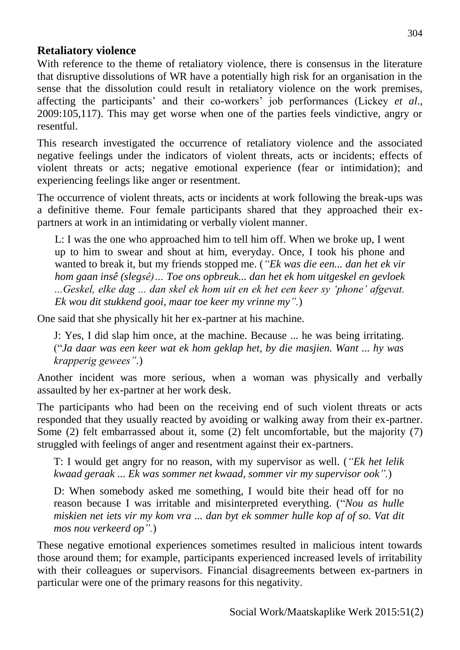#### **Retaliatory violence**

With reference to the theme of retaliatory violence, there is consensus in the literature that disruptive dissolutions of WR have a potentially high risk for an organisation in the sense that the dissolution could result in retaliatory violence on the work premises, affecting the participants' and their co-workers' job performances (Lickey *et al*., 2009:105,117). This may get worse when one of the parties feels vindictive, angry or resentful.

This research investigated the occurrence of retaliatory violence and the associated negative feelings under the indicators of violent threats, acts or incidents; effects of violent threats or acts; negative emotional experience (fear or intimidation); and experiencing feelings like anger or resentment.

The occurrence of violent threats, acts or incidents at work following the break-ups was a definitive theme. Four female participants shared that they approached their expartners at work in an intimidating or verbally violent manner.

L: I was the one who approached him to tell him off. When we broke up, I went up to him to swear and shout at him, everyday. Once, I took his phone and wanted to break it, but my friends stopped me. (*"Ek was die een... dan het ek vir hom gaan insê (slegsê)… Toe ons opbreuk... dan het ek hom uitgeskel en gevloek ...Geskel, elke dag ... dan skel ek hom uit en ek het een keer sy 'phone' afgevat. Ek wou dit stukkend gooi, maar toe keer my vrinne my".*)

One said that she physically hit her ex-partner at his machine.

J: Yes, I did slap him once, at the machine. Because ... he was being irritating. ("*Ja daar was een keer wat ek hom geklap het, by die masjien. Want ... hy was krapperig gewees".*)

Another incident was more serious, when a woman was physically and verbally assaulted by her ex-partner at her work desk.

The participants who had been on the receiving end of such violent threats or acts responded that they usually reacted by avoiding or walking away from their ex-partner. Some (2) felt embarrassed about it, some (2) felt uncomfortable, but the majority (7) struggled with feelings of anger and resentment against their ex-partners.

T: I would get angry for no reason, with my supervisor as well. (*"Ek het lelik kwaad geraak ... Ek was sommer net kwaad, sommer vir my supervisor ook".*)

D: When somebody asked me something, I would bite their head off for no reason because I was irritable and misinterpreted everything. ("*Nou as hulle miskien net iets vir my kom vra ... dan byt ek sommer hulle kop af of so. Vat dit mos nou verkeerd op".*)

These negative emotional experiences sometimes resulted in malicious intent towards those around them; for example, participants experienced increased levels of irritability with their colleagues or supervisors. Financial disagreements between ex-partners in particular were one of the primary reasons for this negativity.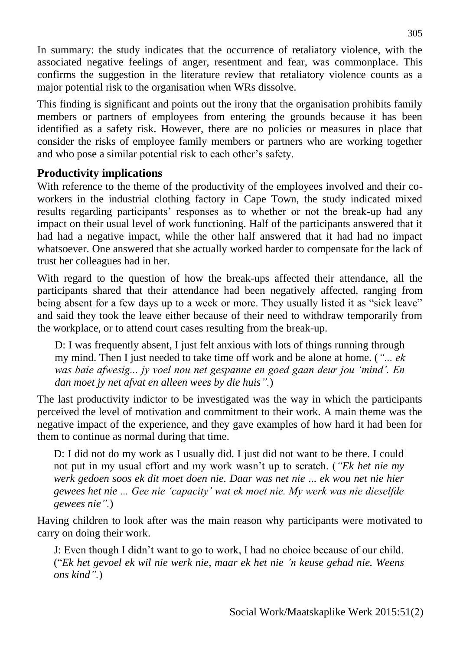In summary: the study indicates that the occurrence of retaliatory violence, with the associated negative feelings of anger, resentment and fear, was commonplace. This confirms the suggestion in the literature review that retaliatory violence counts as a major potential risk to the organisation when WRs dissolve.

This finding is significant and points out the irony that the organisation prohibits family members or partners of employees from entering the grounds because it has been identified as a safety risk. However, there are no policies or measures in place that consider the risks of employee family members or partners who are working together and who pose a similar potential risk to each other's safety.

### **Productivity implications**

With reference to the theme of the productivity of the employees involved and their coworkers in the industrial clothing factory in Cape Town, the study indicated mixed results regarding participants' responses as to whether or not the break-up had any impact on their usual level of work functioning. Half of the participants answered that it had had a negative impact, while the other half answered that it had had no impact whatsoever. One answered that she actually worked harder to compensate for the lack of trust her colleagues had in her.

With regard to the question of how the break-ups affected their attendance, all the participants shared that their attendance had been negatively affected, ranging from being absent for a few days up to a week or more. They usually listed it as "sick leave" and said they took the leave either because of their need to withdraw temporarily from the workplace, or to attend court cases resulting from the break-up.

D: I was frequently absent, I just felt anxious with lots of things running through my mind. Then I just needed to take time off work and be alone at home. (*"... ek was baie afwesig... jy voel nou net gespanne en goed gaan deur jou 'mind'. En dan moet jy net afvat en alleen wees by die huis".*)

The last productivity indictor to be investigated was the way in which the participants perceived the level of motivation and commitment to their work. A main theme was the negative impact of the experience, and they gave examples of how hard it had been for them to continue as normal during that time.

D: I did not do my work as I usually did. I just did not want to be there. I could not put in my usual effort and my work wasn't up to scratch. (*"Ek het nie my werk gedoen soos ek dit moet doen nie. Daar was net nie ... ek wou net nie hier gewees het nie ... Gee nie 'capacity' wat ek moet nie. My werk was nie dieselfde gewees nie".*)

Having children to look after was the main reason why participants were motivated to carry on doing their work.

J: Even though I didn't want to go to work, I had no choice because of our child. ("*Ek het gevoel ek wil nie werk nie, maar ek het nie 'n keuse gehad nie. Weens ons kind".*)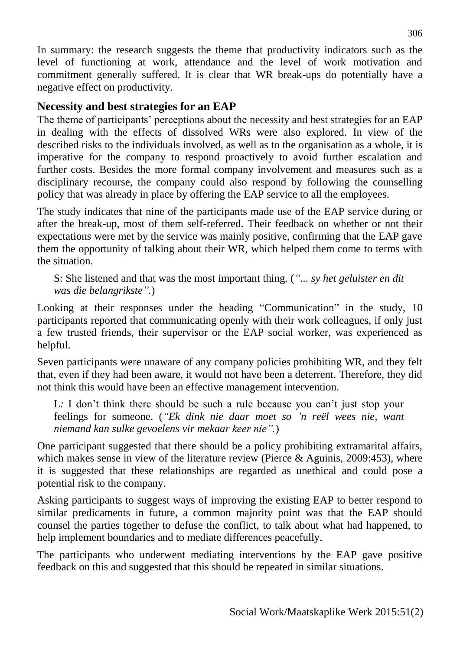In summary: the research suggests the theme that productivity indicators such as the level of functioning at work, attendance and the level of work motivation and commitment generally suffered. It is clear that WR break-ups do potentially have a negative effect on productivity.

### **Necessity and best strategies for an EAP**

The theme of participants' perceptions about the necessity and best strategies for an EAP in dealing with the effects of dissolved WRs were also explored. In view of the described risks to the individuals involved, as well as to the organisation as a whole, it is imperative for the company to respond proactively to avoid further escalation and further costs. Besides the more formal company involvement and measures such as a disciplinary recourse, the company could also respond by following the counselling policy that was already in place by offering the EAP service to all the employees.

The study indicates that nine of the participants made use of the EAP service during or after the break-up, most of them self-referred. Their feedback on whether or not their expectations were met by the service was mainly positive, confirming that the EAP gave them the opportunity of talking about their WR, which helped them come to terms with the situation.

S: She listened and that was the most important thing. (*"... sy het geluister en dit was die belangrikste".*)

Looking at their responses under the heading "Communication" in the study, 10 participants reported that communicating openly with their work colleagues, if only just a few trusted friends, their supervisor or the EAP social worker, was experienced as helpful.

Seven participants were unaware of any company policies prohibiting WR, and they felt that, even if they had been aware, it would not have been a deterrent. Therefore, they did not think this would have been an effective management intervention.

L*:* I don't think there should be such a rule because you can't just stop your feelings for someone. (*"Ek dink nie daar moet so 'n reël wees nie, want niemand kan sulke gevoelens vir mekaar keer nie".*)

One participant suggested that there should be a policy prohibiting extramarital affairs, which makes sense in view of the literature review (Pierce & Aguinis, 2009:453), where it is suggested that these relationships are regarded as unethical and could pose a potential risk to the company.

Asking participants to suggest ways of improving the existing EAP to better respond to similar predicaments in future, a common majority point was that the EAP should counsel the parties together to defuse the conflict, to talk about what had happened, to help implement boundaries and to mediate differences peacefully.

The participants who underwent mediating interventions by the EAP gave positive feedback on this and suggested that this should be repeated in similar situations.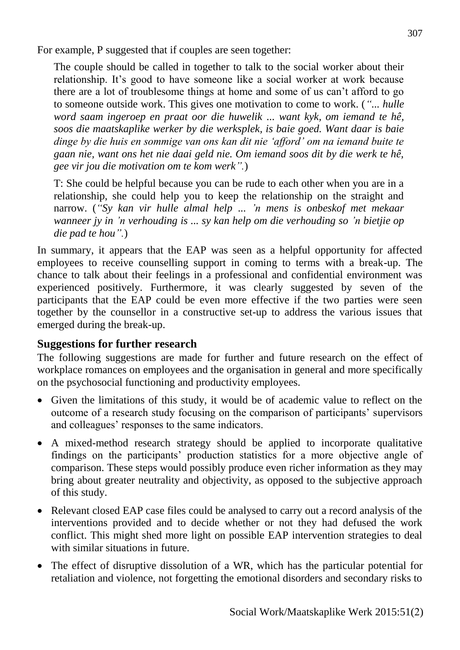For example, P suggested that if couples are seen together:

The couple should be called in together to talk to the social worker about their relationship. It's good to have someone like a social worker at work because there are a lot of troublesome things at home and some of us can't afford to go to someone outside work. This gives one motivation to come to work. (*"... hulle word saam ingeroep en praat oor die huwelik ... want kyk, om iemand te hê, soos die maatskaplike werker by die werksplek, is baie goed. Want daar is baie dinge by die huis en sommige van ons kan dit nie 'afford' om na iemand buite te gaan nie, want ons het nie daai geld nie. Om iemand soos dit by die werk te hê, gee vir jou die motivation om te kom werk".*)

T: She could be helpful because you can be rude to each other when you are in a relationship, she could help you to keep the relationship on the straight and narrow. (*"Sy kan vir hulle almal help ... 'n mens is onbeskof met mekaar wanneer jy in 'n verhouding is ... sy kan help om die verhouding so 'n bietjie op die pad te hou".*)

In summary, it appears that the EAP was seen as a helpful opportunity for affected employees to receive counselling support in coming to terms with a break-up. The chance to talk about their feelings in a professional and confidential environment was experienced positively. Furthermore, it was clearly suggested by seven of the participants that the EAP could be even more effective if the two parties were seen together by the counsellor in a constructive set-up to address the various issues that emerged during the break-up.

#### **Suggestions for further research**

The following suggestions are made for further and future research on the effect of workplace romances on employees and the organisation in general and more specifically on the psychosocial functioning and productivity employees.

- Given the limitations of this study, it would be of academic value to reflect on the outcome of a research study focusing on the comparison of participants' supervisors and colleagues' responses to the same indicators.
- A mixed-method research strategy should be applied to incorporate qualitative findings on the participants' production statistics for a more objective angle of comparison. These steps would possibly produce even richer information as they may bring about greater neutrality and objectivity, as opposed to the subjective approach of this study.
- Relevant closed EAP case files could be analysed to carry out a record analysis of the interventions provided and to decide whether or not they had defused the work conflict. This might shed more light on possible EAP intervention strategies to deal with similar situations in future.
- The effect of disruptive dissolution of a WR, which has the particular potential for retaliation and violence, not forgetting the emotional disorders and secondary risks to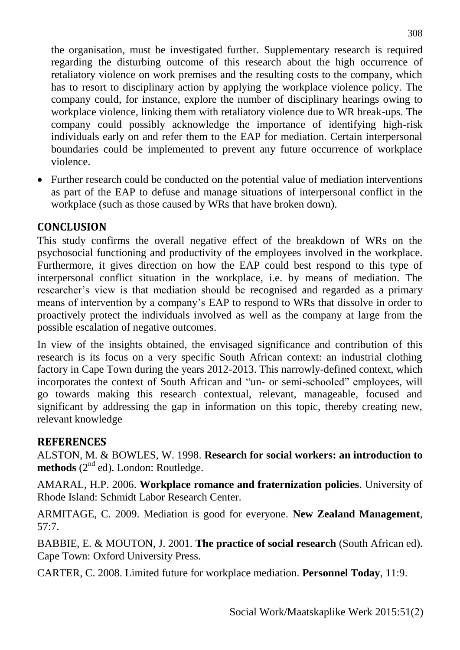the organisation, must be investigated further. Supplementary research is required regarding the disturbing outcome of this research about the high occurrence of retaliatory violence on work premises and the resulting costs to the company, which has to resort to disciplinary action by applying the workplace violence policy. The company could, for instance, explore the number of disciplinary hearings owing to workplace violence, linking them with retaliatory violence due to WR break-ups. The company could possibly acknowledge the importance of identifying high-risk individuals early on and refer them to the EAP for mediation. Certain interpersonal boundaries could be implemented to prevent any future occurrence of workplace violence.

 Further research could be conducted on the potential value of mediation interventions as part of the EAP to defuse and manage situations of interpersonal conflict in the workplace (such as those caused by WRs that have broken down).

## **CONCLUSION**

This study confirms the overall negative effect of the breakdown of WRs on the psychosocial functioning and productivity of the employees involved in the workplace. Furthermore, it gives direction on how the EAP could best respond to this type of interpersonal conflict situation in the workplace, i.e. by means of mediation. The researcher's view is that mediation should be recognised and regarded as a primary means of intervention by a company's EAP to respond to WRs that dissolve in order to proactively protect the individuals involved as well as the company at large from the possible escalation of negative outcomes.

In view of the insights obtained, the envisaged significance and contribution of this research is its focus on a very specific South African context: an industrial clothing factory in Cape Town during the years 2012-2013. This narrowly-defined context, which incorporates the context of South African and "un- or semi-schooled" employees, will go towards making this research contextual, relevant, manageable, focused and significant by addressing the gap in information on this topic, thereby creating new, relevant knowledge

### **REFERENCES**

ALSTON, M. & BOWLES, W. 1998. **Research for social workers: an introduction to**  methods (2<sup>nd</sup> ed). London: Routledge.

AMARAL, H.P. 2006. **Workplace romance and fraternization policies**. University of Rhode Island: Schmidt Labor Research Center.

ARMITAGE, C. 2009. Mediation is good for everyone. **New Zealand Management***,* 57:7.

BABBIE, E. & MOUTON, J. 2001. **The practice of social research** (South African ed). Cape Town: Oxford University Press.

CARTER, C. 2008. Limited future for workplace mediation. **Personnel Today**, 11:9.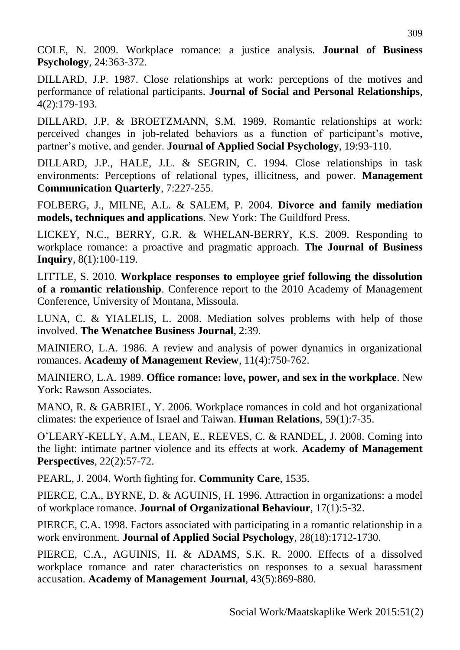COLE, N. 2009. Workplace romance: a justice analysis. **Journal of Business Psychology**, 24:363-372.

DILLARD, J.P. 1987. Close relationships at work: perceptions of the motives and performance of relational participants. **Journal of Social and Personal Relationships**, 4(2):179-193.

DILLARD, J.P. & BROETZMANN, S.M. 1989. Romantic relationships at work: perceived changes in job-related behaviors as a function of participant's motive, partner's motive, and gender. **Journal of Applied Social Psychology**, 19:93-110.

DILLARD, J.P., HALE, J.L. & SEGRIN, C. 1994. Close relationships in task environments: Perceptions of relational types, illicitness, and power. **Management Communication Quarterly**, 7:227-255.

FOLBERG, J., MILNE, A.L. & SALEM, P. 2004. **Divorce and family mediation models, techniques and applications**. New York: The Guildford Press.

LICKEY, N.C., BERRY, G.R. & WHELAN-BERRY, K.S. 2009. Responding to workplace romance: a proactive and pragmatic approach. **The Journal of Business Inquiry**, 8(1):100-119.

LITTLE, S. 2010. **Workplace responses to employee grief following the dissolution of a romantic relationship**. Conference report to the 2010 Academy of Management Conference, University of Montana, Missoula.

LUNA, C. & YIALELIS, L. 2008. Mediation solves problems with help of those involved. **The Wenatchee Business Journal**, 2:39.

MAINIERO, L.A. 1986. A review and analysis of power dynamics in organizational romances. **Academy of Management Review**, 11(4):750-762.

MAINIERO, L.A. 1989. **Office romance: love, power, and sex in the workplace**. New York: Rawson Associates.

MANO, R. & GABRIEL, Y. 2006. Workplace romances in cold and hot organizational climates: the experience of Israel and Taiwan. **Human Relations***,* 59(1):7-35.

O'LEARY-KELLY, A.M., LEAN, E., REEVES, C. & RANDEL, J. 2008. Coming into the light: intimate partner violence and its effects at work. **Academy of Management Perspectives**, 22(2):57-72.

PEARL, J. 2004. Worth fighting for. **Community Care**, 1535.

PIERCE, C.A., BYRNE, D. & AGUINIS, H. 1996. Attraction in organizations: a model of workplace romance. **Journal of Organizational Behaviour**, 17(1):5-32.

PIERCE, C.A. 1998. Factors associated with participating in a romantic relationship in a work environment. **Journal of Applied Social Psychology**, 28(18):1712-1730.

PIERCE, C.A., AGUINIS, H. & ADAMS, S.K. R. 2000. Effects of a dissolved workplace romance and rater characteristics on responses to a sexual harassment accusation*.* **Academy of Management Journal**, 43(5):869-880.